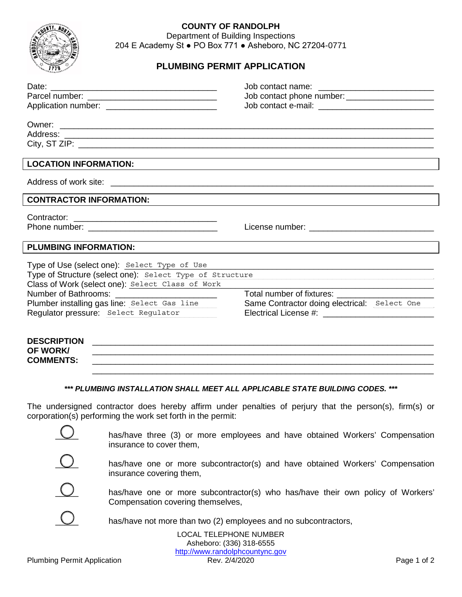

## **COUNTY OF RANDOLPH**

Department of Building Inspections 204 E Academy St ● PO Box 771 ● Asheboro, NC 27204-0771

## **PLUMBING PERMIT APPLICATION**

|                                                                                                                                                                                                                                                      | Job contact phone number: _______________________ |
|------------------------------------------------------------------------------------------------------------------------------------------------------------------------------------------------------------------------------------------------------|---------------------------------------------------|
|                                                                                                                                                                                                                                                      |                                                   |
| <b>LOCATION INFORMATION:</b>                                                                                                                                                                                                                         |                                                   |
|                                                                                                                                                                                                                                                      |                                                   |
| <b>CONTRACTOR INFORMATION:</b>                                                                                                                                                                                                                       |                                                   |
|                                                                                                                                                                                                                                                      |                                                   |
| <b>PLUMBING INFORMATION:</b>                                                                                                                                                                                                                         |                                                   |
| Type of Use (select one): Select Type of Use<br>Type of Structure (select one): Select Type of Structure<br>Class of Work (select one): Select Class of Work<br>Plumber installing gas line: Select Gas line<br>Regulator pressure: Select Regulator | Same Contractor doing electrical: Select One      |
| <b>DESCRIPTION</b><br><b>OF WORK</b>                                                                                                                                                                                                                 |                                                   |

*\*\*\* PLUMBING INSTALLATION SHALL MEET ALL APPLICABLE STATE BUILDING CODES. \*\*\**

**COMMENTS:** \_\_\_\_\_\_\_\_\_\_\_\_\_\_\_\_\_\_\_\_\_\_\_\_\_\_\_\_\_\_\_\_\_\_\_\_\_\_\_\_\_\_\_\_\_\_\_\_\_\_\_\_\_\_\_\_\_\_\_\_\_\_\_\_\_\_\_\_\_\_\_\_\_\_

The undersigned contractor does hereby affirm under penalties of perjury that the person(s), firm(s) or corporation(s) performing the work set forth in the permit:



has/have three (3) or more employees and have obtained Workers' Compensation insurance to cover them,

\_\_\_\_\_\_\_\_\_\_\_\_\_\_\_\_\_\_\_\_\_\_\_\_\_\_\_\_\_\_\_\_\_\_\_\_\_\_\_\_\_\_\_\_\_\_\_\_\_\_\_\_\_\_\_\_\_\_\_\_\_\_\_\_\_\_\_\_\_\_\_\_\_\_



has/have one or more subcontractor(s) and have obtained Workers' Compensation insurance covering them,



has/have one or more subcontractor(s) who has/have their own policy of Workers' Compensation covering themselves,



has/have not more than two (2) employees and no subcontractors,

LOCAL TELEPHONE NUMBER Asheboro: (336) 318-6555 http://www.randolphcountync.gov<br>Rev. 2/4/2020 Plumbing Permit Application **Rev. 2/4/2020** Page 1 of 2